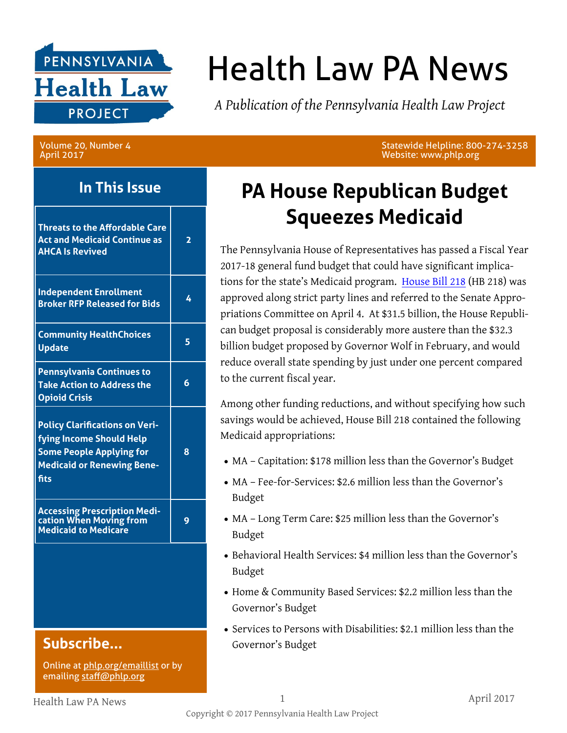

# Health Law PA News

*A Publication of the Pennsylvania Health Law Project*

Volume 20, Number 4 April 2017

#### **In This Issue**

| <b>Threats to the Affordable Care</b><br><b>Act and Medicaid Continue as</b><br><b>AHCA Is Revived</b>                                            | $\overline{\mathbf{2}}$ |
|---------------------------------------------------------------------------------------------------------------------------------------------------|-------------------------|
| <b>Independent Enrollment</b><br><b>Broker RFP Released for Bids</b>                                                                              | 4                       |
| <b>Community HealthChoices</b><br><b>Update</b>                                                                                                   | 5                       |
| Pennsylvania Continues to<br><b>Take Action to Address the</b><br><b>Opioid Crisis</b>                                                            | 6                       |
| <b>Policy Clarifications on Veri-</b><br>fying Income Should Help<br><b>Some People Applying for</b><br><b>Medicaid or Renewing Bene-</b><br>fits | 8                       |
| <b>Accessing Prescription Medi-</b><br>cation When Moving from<br><b>Medicaid to Medicare</b>                                                     | 9                       |
|                                                                                                                                                   |                         |
| Subscribe                                                                                                                                         |                         |

Online at [phlp.org/emaillist](http://www.phlp.org/home-page/emaillist) or by emailing [staff@phlp.org](mailto:staff@phlp.org)

Statewide Helpline: 800-274-3258 Website: www.phlp.org

### **PA House Republican Budget Squeezes Medicaid**

The Pennsylvania House of Representatives has passed a Fiscal Year 2017-18 general fund budget that could have significant implications for the state's Medicaid program. [House Bill 218](http://www.legis.state.pa.us/cfdocs/billInfo/billInfo.cfm?sYear=2017&sInd=0&body=H&type=B&bn=0218) (HB 218) was approved along strict party lines and referred to the Senate Appropriations Committee on April 4. At \$31.5 billion, the House Republican budget proposal is considerably more austere than the \$32.3 billion budget proposed by Governor Wolf in February, and would reduce overall state spending by just under one percent compared to the current fiscal year.

Among other funding reductions, and without specifying how such savings would be achieved, House Bill 218 contained the following Medicaid appropriations:

- MA Capitation: \$178 million less than the Governor's Budget
- MA Fee-for-Services: \$2.6 million less than the Governor's Budget
- MA Long Term Care: \$25 million less than the Governor's Budget
- Behavioral Health Services: \$4 million less than the Governor's Budget
- Home & Community Based Services: \$2.2 million less than the Governor's Budget
- Services to Persons with Disabilities: \$2.1 million less than the Governor's Budget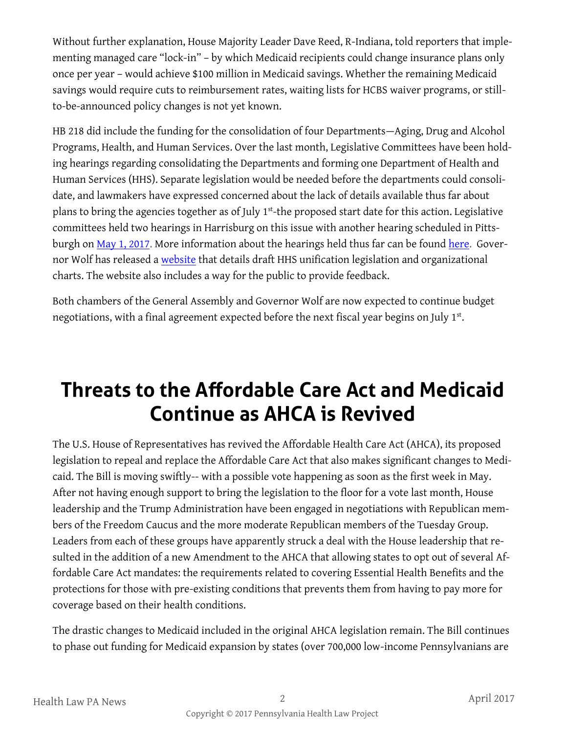Without further explanation, House Majority Leader Dave Reed, R-Indiana, told reporters that implementing managed care "lock-in" – by which Medicaid recipients could change insurance plans only once per year – would achieve \$100 million in Medicaid savings. Whether the remaining Medicaid savings would require cuts to reimbursement rates, waiting lists for HCBS waiver programs, or stillto-be-announced policy changes is not yet known.

HB 218 did include the funding for the consolidation of four Departments—Aging, Drug and Alcohol Programs, Health, and Human Services. Over the last month, Legislative Committees have been holding hearings regarding consolidating the Departments and forming one Department of Health and Human Services (HHS). Separate legislation would be needed before the departments could consolidate, and lawmakers have expressed concerned about the lack of details available thus far about plans to bring the agencies together as of July 1<sup>st</sup>-the proposed start date for this action. Legislative committees held two hearings in Harrisburg on this issue with another hearing scheduled in Pitts-burgh on [May 1, 2017.](http://www.pasen.gov/) More information about the hearings held thus far can be found [here.](http://www.legis.state.pa.us/cfdocs/CteeInfo/index.cfm?Code=56&CteeBody=H) Governor Wolf has released a [website](http://www.governor.pa.gov/hhs) that details draft HHS unification legislation and organizational charts. The website also includes a way for the public to provide feedback.

Both chambers of the General Assembly and Governor Wolf are now expected to continue budget negotiations, with a final agreement expected before the next fiscal year begins on July 1st.

### **Threats to the Affordable Care Act and Medicaid Continue as AHCA is Revived**

The U.S. House of Representatives has revived the Affordable Health Care Act (AHCA), its proposed legislation to repeal and replace the Affordable Care Act that also makes significant changes to Medicaid. The Bill is moving swiftly-- with a possible vote happening as soon as the first week in May. After not having enough support to bring the legislation to the floor for a vote last month, House leadership and the Trump Administration have been engaged in negotiations with Republican members of the Freedom Caucus and the more moderate Republican members of the Tuesday Group. Leaders from each of these groups have apparently struck a deal with the House leadership that resulted in the addition of a new Amendment to the AHCA that allowing states to opt out of several Affordable Care Act mandates: the requirements related to covering Essential Health Benefits and the protections for those with pre-existing conditions that prevents them from having to pay more for coverage based on their health conditions.

The drastic changes to Medicaid included in the original AHCA legislation remain. The Bill continues to phase out funding for Medicaid expansion by states (over 700,000 low-income Pennsylvanians are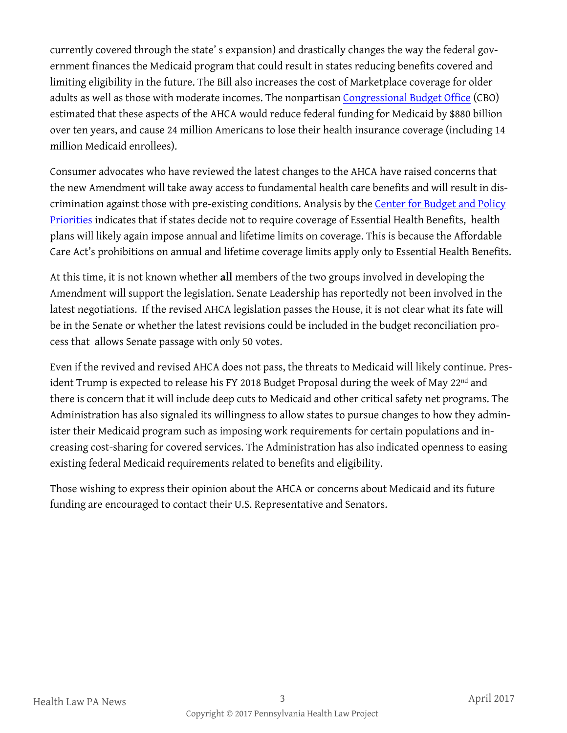currently covered through the state' s expansion) and drastically changes the way the federal government finances the Medicaid program that could result in states reducing benefits covered and limiting eligibility in the future. The Bill also increases the cost of Marketplace coverage for older adults as well as those with moderate incomes. The nonpartisan [Congressional Budget Office](https://www.cbo.gov/publication/52486) (CBO) estimated that these aspects of the AHCA would reduce federal funding for Medicaid by \$880 billion over ten years, and cause 24 million Americans to lose their health insurance coverage (including 14 million Medicaid enrollees).

Consumer advocates who have reviewed the latest changes to the AHCA have raised concerns that the new Amendment will take away access to fundamental health care benefits and will result in discrimination against those with pre-existing conditions. Analysis by the [Center for Budget and Policy](http://www.cbpp.org/research/health/reported-amendment-to-house-aca-repeal-bill-guts-protections-for-people-with-pre)  [Priorities](http://www.cbpp.org/research/health/reported-amendment-to-house-aca-repeal-bill-guts-protections-for-people-with-pre) indicates that if states decide not to require coverage of Essential Health Benefits, health plans will likely again impose annual and lifetime limits on coverage. This is because the Affordable Care Act's prohibitions on annual and lifetime coverage limits apply only to Essential Health Benefits.

At this time, it is not known whether **all** members of the two groups involved in developing the Amendment will support the legislation. Senate Leadership has reportedly not been involved in the latest negotiations. If the revised AHCA legislation passes the House, it is not clear what its fate will be in the Senate or whether the latest revisions could be included in the budget reconciliation process that allows Senate passage with only 50 votes.

Even if the revived and revised AHCA does not pass, the threats to Medicaid will likely continue. President Trump is expected to release his FY 2018 Budget Proposal during the week of May 22<sup>nd</sup> and there is concern that it will include deep cuts to Medicaid and other critical safety net programs. The Administration has also signaled its willingness to allow states to pursue changes to how they administer their Medicaid program such as imposing work requirements for certain populations and increasing cost-sharing for covered services. The Administration has also indicated openness to easing existing federal Medicaid requirements related to benefits and eligibility.

Those wishing to express their opinion about the AHCA or concerns about Medicaid and its future funding are encouraged to contact their U.S. Representative and Senators.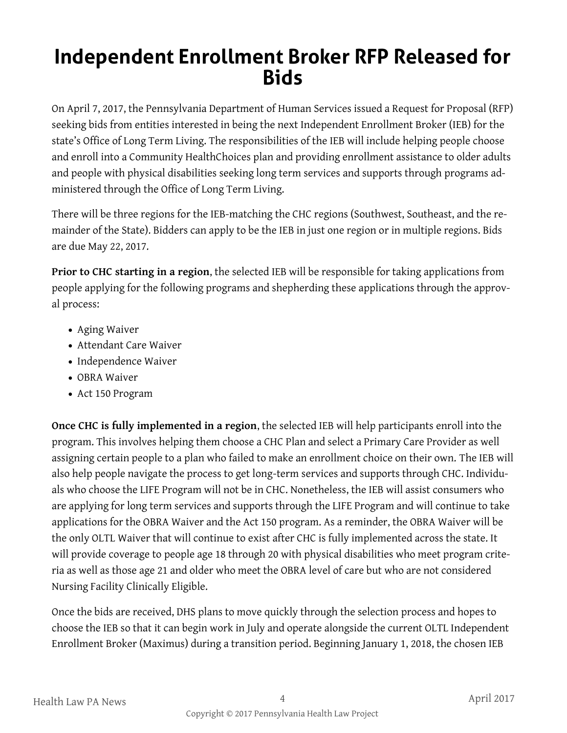#### **Independent Enrollment Broker RFP Released for Bids**

On April 7, 2017, the Pennsylvania Department of Human Services issued a Request for Proposal (RFP) seeking bids from entities interested in being the next Independent Enrollment Broker (IEB) for the state's Office of Long Term Living. The responsibilities of the IEB will include helping people choose and enroll into a Community HealthChoices plan and providing enrollment assistance to older adults and people with physical disabilities seeking long term services and supports through programs administered through the Office of Long Term Living.

There will be three regions for the IEB-matching the CHC regions (Southwest, Southeast, and the remainder of the State). Bidders can apply to be the IEB in just one region or in multiple regions. Bids are due May 22, 2017.

**Prior to CHC starting in a region**, the selected IEB will be responsible for taking applications from people applying for the following programs and shepherding these applications through the approval process:

- Aging Waiver
- Attendant Care Waiver
- Independence Waiver
- OBRA Waiver
- Act 150 Program

**Once CHC is fully implemented in a region**, the selected IEB will help participants enroll into the program. This involves helping them choose a CHC Plan and select a Primary Care Provider as well assigning certain people to a plan who failed to make an enrollment choice on their own. The IEB will also help people navigate the process to get long-term services and supports through CHC. Individuals who choose the LIFE Program will not be in CHC. Nonetheless, the IEB will assist consumers who are applying for long term services and supports through the LIFE Program and will continue to take applications for the OBRA Waiver and the Act 150 program. As a reminder, the OBRA Waiver will be the only OLTL Waiver that will continue to exist after CHC is fully implemented across the state. It will provide coverage to people age 18 through 20 with physical disabilities who meet program criteria as well as those age 21 and older who meet the OBRA level of care but who are not considered Nursing Facility Clinically Eligible.

Once the bids are received, DHS plans to move quickly through the selection process and hopes to choose the IEB so that it can begin work in July and operate alongside the current OLTL Independent Enrollment Broker (Maximus) during a transition period. Beginning January 1, 2018, the chosen IEB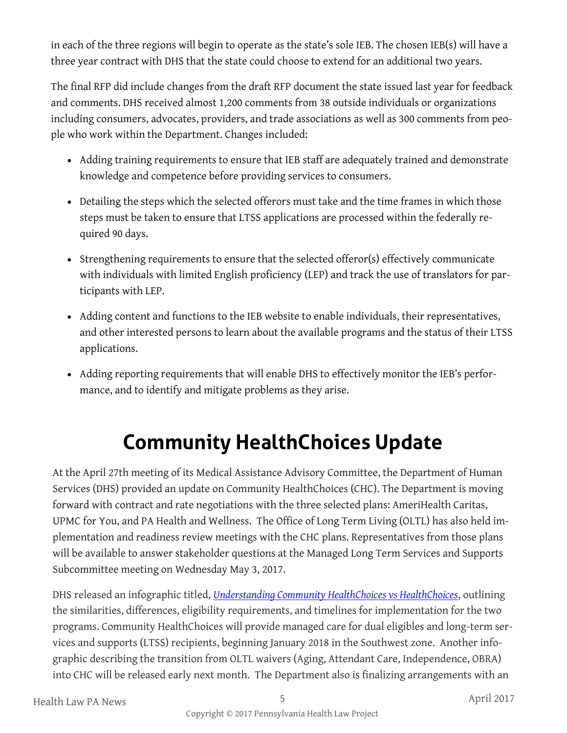in each of the three regions will begin to operate as the state's sole IEB. The chosen IEB(s) will have a three year contract with DHS that the state could choose to extend for an additional two years.

The final RFP did include changes from the draft RFP document the state issued last year for feedback and comments. DHS received almost 1,200 comments from 38 outside individuals or organizations including consumers, advocates, providers, and trade associations as well as 300 comments from people who work within the Department. Changes included:

- Adding training requirements to ensure that IEB staff are adequately trained and demonstrate knowledge and competence before providing services to consumers.
- Detailing the steps which the selected offerors must take and the time frames in which those steps must be taken to ensure that LTSS applications are processed within the federally required 90 days.
- Strengthening requirements to ensure that the selected offeror(s) effectively communicate with individuals with limited English proficiency (LEP) and track the use of translators for participants with LEP.
- Adding content and functions to the IEB website to enable individuals, their representatives, and other interested persons to learn about the available programs and the status of their LTSS applications.
- Adding reporting requirements that will enable DHS to effectively monitor the IEB's performance, and to identify and mitigate problems as they arise.

### **Community HealthChoices Update**

At the April 27th meeting of its Medical Assistance Advisory Committee, the Department of Human Services (DHS) provided an update on Community HealthChoices (CHC). The Department is moving forward with contract and rate negotiations with the three selected plans: AmeriHealth Caritas, UPMC for You, and PA Health and Wellness. The Office of Long Term Living (OLTL) has also held implementation and readiness review meetings with the CHC plans. Representatives from those plans will be available to answer stakeholder questions at the Managed Long Term Services and Supports Subcommittee meeting on Wednesday May 3, 2017.

DHS released an infographic titled, *[Understanding Community HealthChoices vs HealthChoices](http://www.paproviders.org/healthchoices-and-community-healthchoices-information/)*, outlining the similarities, differences, eligibility requirements, and timelines for implementation for the two programs. Community HealthChoices will provide managed care for dual eligibles and long-term services and supports (LTSS) recipients, beginning January 2018 in the Southwest zone. Another infographic describing the transition from OLTL waivers (Aging, Attendant Care, Independence, OBRA) into CHC will be released early next month. The Department also is finalizing arrangements with an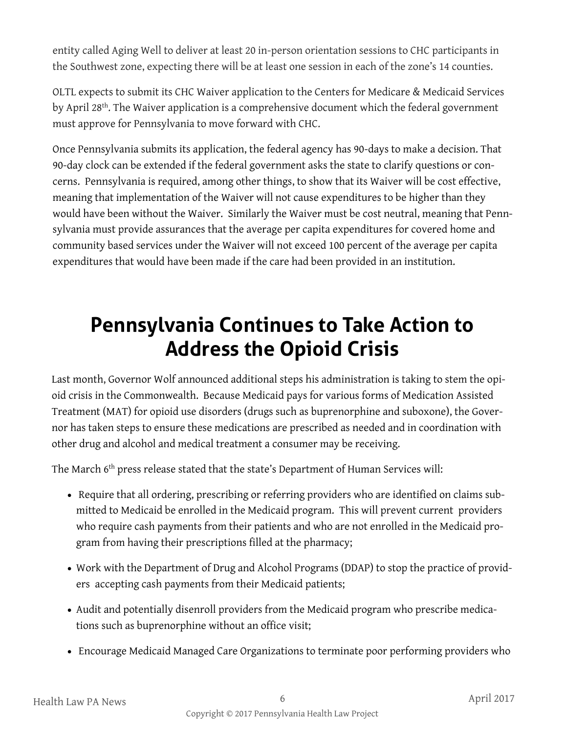entity called Aging Well to deliver at least 20 in-person orientation sessions to CHC participants in the Southwest zone, expecting there will be at least one session in each of the zone's 14 counties.

OLTL expects to submit its CHC Waiver application to the Centers for Medicare & Medicaid Services by April 28th. The Waiver application is a comprehensive document which the federal government must approve for Pennsylvania to move forward with CHC.

Once Pennsylvania submits its application, the federal agency has 90-days to make a decision. That 90-day clock can be extended if the federal government asks the state to clarify questions or concerns. Pennsylvania is required, among other things, to show that its Waiver will be cost effective, meaning that implementation of the Waiver will not cause expenditures to be higher than they would have been without the Waiver. Similarly the Waiver must be cost neutral, meaning that Pennsylvania must provide assurances that the average per capita expenditures for covered home and community based services under the Waiver will not exceed 100 percent of the average per capita expenditures that would have been made if the care had been provided in an institution.

### **Pennsylvania Continues to Take Action to Address the Opioid Crisis**

Last month, Governor Wolf announced additional steps his administration is taking to stem the opioid crisis in the Commonwealth. Because Medicaid pays for various forms of Medication Assisted Treatment (MAT) for opioid use disorders (drugs such as buprenorphine and suboxone), the Governor has taken steps to ensure these medications are prescribed as needed and in coordination with other drug and alcohol and medical treatment a consumer may be receiving.

The March 6th press release stated that the state's Department of Human Services will:

- Require that all ordering, prescribing or referring providers who are identified on claims submitted to Medicaid be enrolled in the Medicaid program. This will prevent current providers who require cash payments from their patients and who are not enrolled in the Medicaid program from having their prescriptions filled at the pharmacy;
- Work with the Department of Drug and Alcohol Programs (DDAP) to stop the practice of providers accepting cash payments from their Medicaid patients;
- Audit and potentially disenroll providers from the Medicaid program who prescribe medications such as buprenorphine without an office visit;
- Encourage Medicaid Managed Care Organizations to terminate poor performing providers who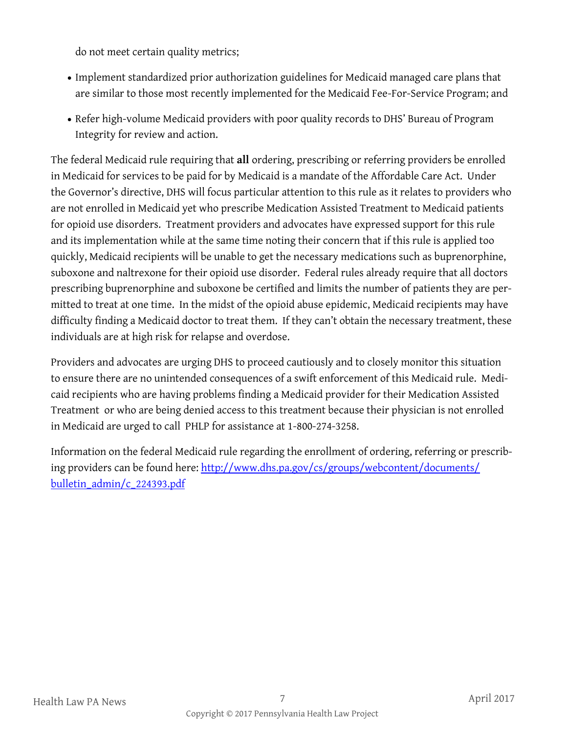do not meet certain quality metrics;

- Implement standardized prior authorization guidelines for Medicaid managed care plans that are similar to those most recently implemented for the Medicaid Fee-For-Service Program; and
- Refer high-volume Medicaid providers with poor quality records to DHS' Bureau of Program Integrity for review and action.

The federal Medicaid rule requiring that **all** ordering, prescribing or referring providers be enrolled in Medicaid for services to be paid for by Medicaid is a mandate of the Affordable Care Act. Under the Governor's directive, DHS will focus particular attention to this rule as it relates to providers who are not enrolled in Medicaid yet who prescribe Medication Assisted Treatment to Medicaid patients for opioid use disorders. Treatment providers and advocates have expressed support for this rule and its implementation while at the same time noting their concern that if this rule is applied too quickly, Medicaid recipients will be unable to get the necessary medications such as buprenorphine, suboxone and naltrexone for their opioid use disorder. Federal rules already require that all doctors prescribing buprenorphine and suboxone be certified and limits the number of patients they are permitted to treat at one time. In the midst of the opioid abuse epidemic, Medicaid recipients may have difficulty finding a Medicaid doctor to treat them. If they can't obtain the necessary treatment, these individuals are at high risk for relapse and overdose.

Providers and advocates are urging DHS to proceed cautiously and to closely monitor this situation to ensure there are no unintended consequences of a swift enforcement of this Medicaid rule. Medicaid recipients who are having problems finding a Medicaid provider for their Medication Assisted Treatment or who are being denied access to this treatment because their physician is not enrolled in Medicaid are urged to call PHLP for assistance at 1-800-274-3258.

Information on the federal Medicaid rule regarding the enrollment of ordering, referring or prescribing providers can be found here: [http://www.dhs.pa.gov/cs/groups/webcontent/documents/](http://www.dhs.pa.gov/cs/groups/webcontent/documents/bulletin_admin/c_224393.pdf) [bulletin\\_admin/c\\_224393.pdf](http://www.dhs.pa.gov/cs/groups/webcontent/documents/bulletin_admin/c_224393.pdf)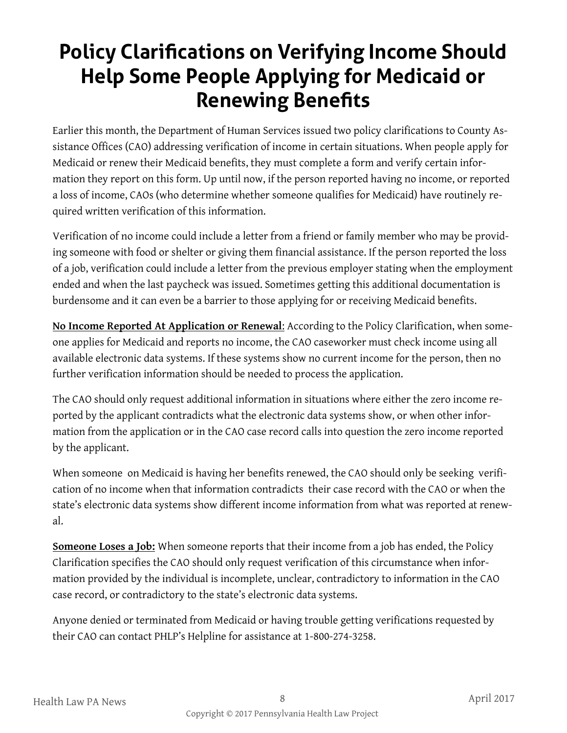### **Policy Clarifications on Verifying Income Should Help Some People Applying for Medicaid or Renewing Benefits**

Earlier this month, the Department of Human Services issued two policy clarifications to County Assistance Offices (CAO) addressing verification of income in certain situations. When people apply for Medicaid or renew their Medicaid benefits, they must complete a form and verify certain information they report on this form. Up until now, if the person reported having no income, or reported a loss of income, CAOs (who determine whether someone qualifies for Medicaid) have routinely required written verification of this information.

Verification of no income could include a letter from a friend or family member who may be providing someone with food or shelter or giving them financial assistance. If the person reported the loss of a job, verification could include a letter from the previous employer stating when the employment ended and when the last paycheck was issued. Sometimes getting this additional documentation is burdensome and it can even be a barrier to those applying for or receiving Medicaid benefits.

**No Income Reported At Application or Renewal**: According to the Policy Clarification, when someone applies for Medicaid and reports no income, the CAO caseworker must check income using all available electronic data systems. If these systems show no current income for the person, then no further verification information should be needed to process the application.

The CAO should only request additional information in situations where either the zero income reported by the applicant contradicts what the electronic data systems show, or when other information from the application or in the CAO case record calls into question the zero income reported by the applicant.

When someone on Medicaid is having her benefits renewed, the CAO should only be seeking verification of no income when that information contradicts their case record with the CAO or when the state's electronic data systems show different income information from what was reported at renewal.

**Someone Loses a Job:** When someone reports that their income from a job has ended, the Policy Clarification specifies the CAO should only request verification of this circumstance when information provided by the individual is incomplete, unclear, contradictory to information in the CAO case record, or contradictory to the state's electronic data systems.

Anyone denied or terminated from Medicaid or having trouble getting verifications requested by their CAO can contact PHLP's Helpline for assistance at 1-800-274-3258.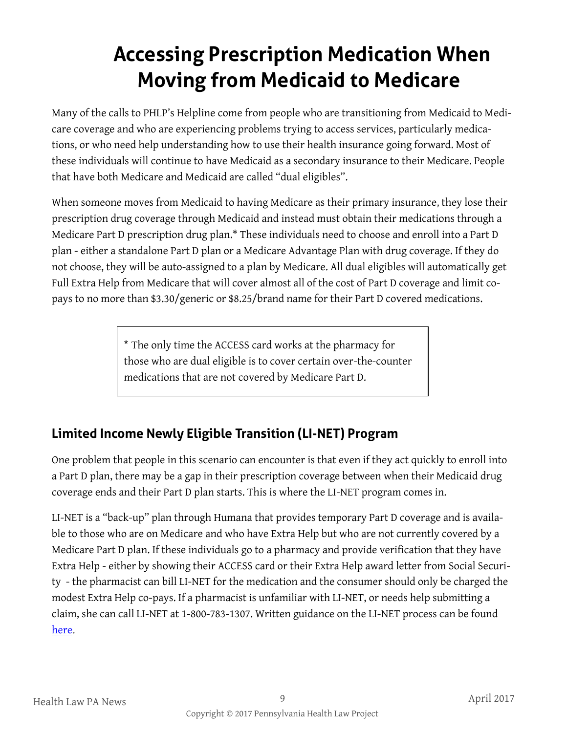## **Accessing Prescription Medication When Moving from Medicaid to Medicare**

Many of the calls to PHLP's Helpline come from people who are transitioning from Medicaid to Medicare coverage and who are experiencing problems trying to access services, particularly medications, or who need help understanding how to use their health insurance going forward. Most of these individuals will continue to have Medicaid as a secondary insurance to their Medicare. People that have both Medicare and Medicaid are called "dual eligibles".

When someone moves from Medicaid to having Medicare as their primary insurance, they lose their prescription drug coverage through Medicaid and instead must obtain their medications through a Medicare Part D prescription drug plan.\* These individuals need to choose and enroll into a Part D plan - either a standalone Part D plan or a Medicare Advantage Plan with drug coverage. If they do not choose, they will be auto-assigned to a plan by Medicare. All dual eligibles will automatically get Full Extra Help from Medicare that will cover almost all of the cost of Part D coverage and limit copays to no more than \$3.30/generic or \$8.25/brand name for their Part D covered medications.

> \* The only time the ACCESS card works at the pharmacy for those who are dual eligible is to cover certain over-the-counter medications that are not covered by Medicare Part D.

#### **Limited Income Newly Eligible Transition (LI-NET) Program**

One problem that people in this scenario can encounter is that even if they act quickly to enroll into a Part D plan, there may be a gap in their prescription coverage between when their Medicaid drug coverage ends and their Part D plan starts. This is where the LI-NET program comes in.

LI-NET is a "back-up" plan through Humana that provides temporary Part D coverage and is available to those who are on Medicare and who have Extra Help but who are not currently covered by a Medicare Part D plan. If these individuals go to a pharmacy and provide verification that they have Extra Help - either by showing their ACCESS card or their Extra Help award letter from Social Security - the pharmacist can bill LI-NET for the medication and the consumer should only be charged the modest Extra Help co-pays. If a pharmacist is unfamiliar with LI-NET, or needs help submitting a claim, she can call LI-NET at 1-800-783-1307. Written guidance on the LI-NET process can be found [here.](http://apps.humana.com/marketing/documents.asp?file=2066961)